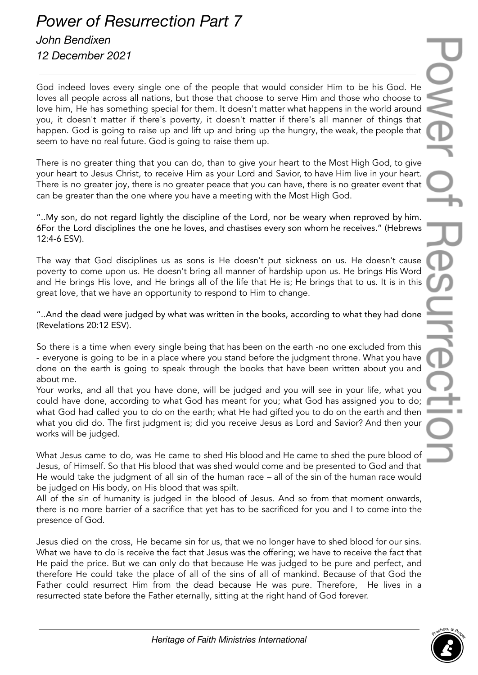## *Power of Resurrection Part 7 John Bendixen*

## *12 December 2021*

God indeed loves every single one of the people that would consider Him to be his God. He loves all people across all nations, but those that choose to serve Him and those who choose to love him, He has something special for them. It doesn't matter what happens in the world around you, it doesn't matter if there's poverty, it doesn't matter if there's all manner of things that happen. God is going to raise up and lift up and bring up the hungry, the weak, the people that seem to have no real future. God is going to raise them up.

There is no greater thing that you can do, than to give your heart to the Most High God, to give your heart to Jesus Christ, to receive Him as your Lord and Savior, to have Him live in your heart. There is no greater joy, there is no greater peace that you can have, there is no greater event that can be greater than the one where you have a meeting with the Most High God.

"..My son, do not regard lightly the discipline of the Lord, nor be weary when reproved by him. 6For the Lord disciplines the one he loves, and chastises every son whom he receives." (Hebrews 12:4-6 ESV).

The way that God disciplines us as sons is He doesn't put sickness on us. He doesn't cause poverty to come upon us. He doesn't bring all manner of hardship upon us. He brings His Word and He brings His love, and He brings all of the life that He is; He brings that to us. It is in this great love, that we have an opportunity to respond to Him to change.

"..And the dead were judged by what was written in the books, according to what they had done (Revelations 20:12 ESV).

So there is a time when every single being that has been on the earth -no one excluded from this - everyone is going to be in a place where you stand before the judgment throne. What you have done on the earth is going to speak through the books that have been written about you and about me.

Your works, and all that you have done, will be judged and you will see in your life, what you could have done, according to what God has meant for you; what God has assigned you to do; what God had called you to do on the earth; what He had gifted you to do on the earth and then what you did do. The first judgment is; did you receive Jesus as Lord and Savior? And then your works will be judged.

What Jesus came to do, was He came to shed His blood and He came to shed the pure blood of Jesus, of Himself. So that His blood that was shed would come and be presented to God and that He would take the judgment of all sin of the human race – all of the sin of the human race would be judged on His body, on His blood that was spilt.

All of the sin of humanity is judged in the blood of Jesus. And so from that moment onwards, there is no more barrier of a sacrifice that yet has to be sacrificed for you and I to come into the presence of God.

Jesus died on the cross, He became sin for us, that we no longer have to shed blood for our sins. What we have to do is receive the fact that Jesus was the offering; we have to receive the fact that He paid the price. But we can only do that because He was judged to be pure and perfect, and therefore He could take the place of all of the sins of all of mankind. Because of that God the Father could resurrect Him from the dead because He was pure. Therefore, He lives in a resurrected state before the Father eternally, sitting at the right hand of God forever.